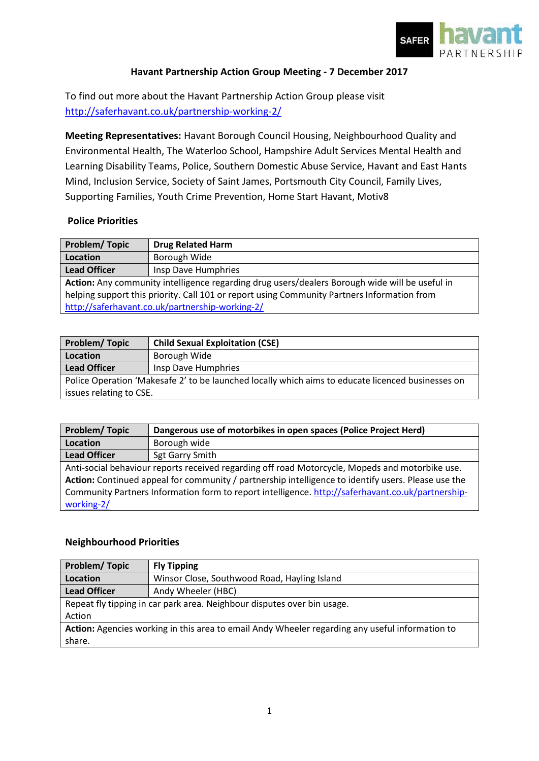

## **Havant Partnership Action Group Meeting - 7 December 2017**

To find out more about the Havant Partnership Action Group please visit <http://saferhavant.co.uk/partnership-working-2/>

**Meeting Representatives:** Havant Borough Council Housing, Neighbourhood Quality and Environmental Health, The Waterloo School, Hampshire Adult Services Mental Health and Learning Disability Teams, Police, Southern Domestic Abuse Service, Havant and East Hants Mind, Inclusion Service, Society of Saint James, Portsmouth City Council, Family Lives, Supporting Families, Youth Crime Prevention, Home Start Havant, Motiv8

## **Police Priorities**

| <b>Problem/Topic</b>                                                                           | <b>Drug Related Harm</b> |
|------------------------------------------------------------------------------------------------|--------------------------|
| <b>Location</b>                                                                                | Borough Wide             |
| <b>Lead Officer</b>                                                                            | Insp Dave Humphries      |
| Action: Any community intelligence regarding drug users/dealers Borough wide will be useful in |                          |
| helping support this priority. Call 101 or report using Community Partners Information from    |                          |
| http://saferhavant.co.uk/partnership-working-2/                                                |                          |

| <b>Problem/Topic</b>                                                                              | <b>Child Sexual Exploitation (CSE)</b> |
|---------------------------------------------------------------------------------------------------|----------------------------------------|
| Location                                                                                          | Borough Wide                           |
| <b>Lead Officer</b>                                                                               | Insp Dave Humphries                    |
| Police Operation 'Makesafe 2' to be launched locally which aims to educate licenced businesses on |                                        |
| issues relating to CSE.                                                                           |                                        |

| <b>Problem/Topic</b>                                                                                | Dangerous use of motorbikes in open spaces (Police Project Herd) |
|-----------------------------------------------------------------------------------------------------|------------------------------------------------------------------|
| Location                                                                                            | Borough wide                                                     |
| <b>Lead Officer</b>                                                                                 | Sgt Garry Smith                                                  |
| Anti-social behaviour reports received regarding off road Motorcycle, Mopeds and motorbike use.     |                                                                  |
| Action: Continued appeal for community / partnership intelligence to identify users. Please use the |                                                                  |
| Community Partners Information form to report intelligence. http://saferhavant.co.uk/partnership-   |                                                                  |
| working-2/                                                                                          |                                                                  |

## **Neighbourhood Priorities**

| Problem/Topic                                                                                   | <b>Fly Tipping</b>                           |
|-------------------------------------------------------------------------------------------------|----------------------------------------------|
| Location                                                                                        | Winsor Close, Southwood Road, Hayling Island |
| <b>Lead Officer</b>                                                                             | Andy Wheeler (HBC)                           |
| Repeat fly tipping in car park area. Neighbour disputes over bin usage.                         |                                              |
| Action                                                                                          |                                              |
| Action: Agencies working in this area to email Andy Wheeler regarding any useful information to |                                              |
| share.                                                                                          |                                              |